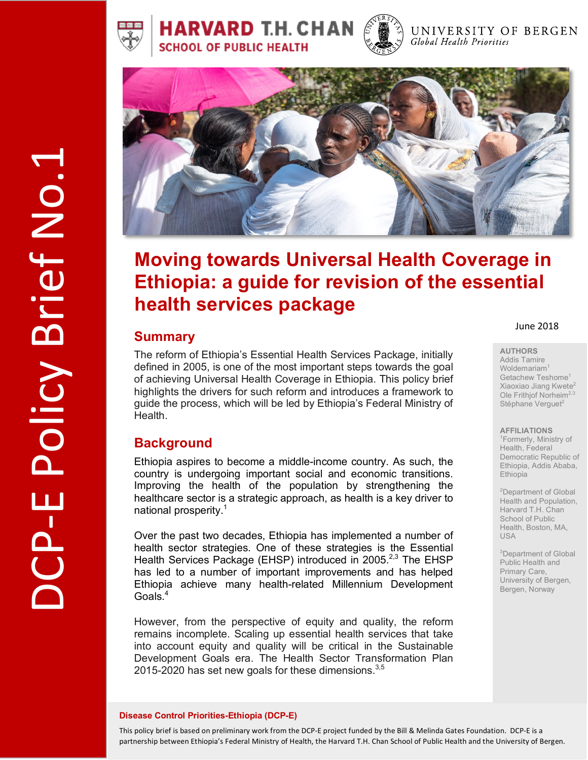





#### UNIVERSITY OF BERGEN Global Health Priorities



# **Moving towards Universal Health Coverage in Ethiopia: a guide for revision of the essential health services package**

# **Summary**

The reform of Ethiopia's Essential Health Services Package, initially defined in 2005, is one of the most important steps towards the goal of achieving Universal Health Coverage in Ethiopia. This policy brief highlights the drivers for such reform and introduces a framework to guide the process, which will be led by Ethiopia's Federal Ministry of Health.

# **Background**

Ethiopia aspires to become a middle-income country. As such, the country is undergoing important social and economic transitions. Improving the health of the population by strengthening the healthcare sector is a strategic approach, as health is a key driver to national prosperity. 1

Over the past two decades, Ethiopia has implemented a number of health sector strategies. One of these strategies is the Essential Health Services Package (EHSP) introduced in 2005.<sup>2,3</sup> The EHSP has led to a number of important improvements and has helped Ethiopia achieve many health-related Millennium Development Goals. 4

However, from the perspective of equity and quality, the reform remains incomplete. Scaling up essential health services that take into account equity and quality will be critical in the Sustainable Development Goals era. The Health Sector Transformation Plan 2015-2020 has set new goals for these dimensions.<sup>3,5</sup>

#### June 2018

#### **AUTHORS**

Addis Tamire Woldemariam<sup>1</sup> Getachew Teshome<sup>1</sup> Xiaoxiao Jiang Kwete2 Ole Frithjof Norheim<sup>2,3</sup> Stéphane Verguet<sup>2</sup>

#### **AFFILIATIONS**

1 Formerly, Ministry of Health, Federal Democratic Republic of Ethiopia, Addis Ababa, Ethiopia

<sup>2</sup>Department of Global Health and Population, Harvard T.H. Chan School of Public Health, Boston, MA, USA

3 Department of Global Public Health and Primary Care, University of Bergen, Bergen, Norway

## **Disease Control Priorities-Ethiopia (DCP-E)**

1

DCP-E Policy Brief No.1

-E Policy Brief No.1

This policy brief is based on preliminary work from the DCP-E project funded by the Bill & Melinda Gates Foundation. DCP-E is a partnership between Ethiopia's Federal Ministry of Health, the Harvard T.H. Chan School of Public Health and the University of Bergen.